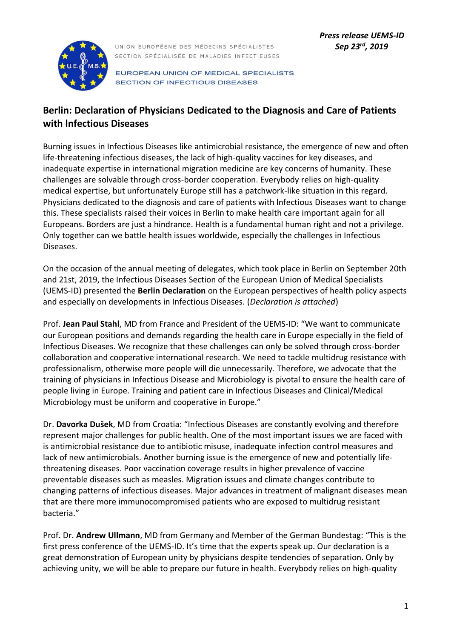

UNION EUROPÉENE DES MÉDECINS SPÉCIALISTES SECTION SPÉCIALISÉE DE MALADIES INFECTIEUSES

EUROPEAN UNION OF MEDICAL SPECIALISTS **SECTION OF INFECTIOUS DISEASES** 

# **Berlin: Declaration of Physicians Dedicated to the Diagnosis and Care of Patients with lnfectious Diseases**

Burning issues in Infectious Diseases like antimicrobial resistance, the emergence of new and often life-threatening infectious diseases, the lack of high-quality vaccines for key diseases, and inadequate expertise in international migration medicine are key concerns of humanity. These challenges are solvable through cross-border cooperation. Everybody relies on high-quality medical expertise, but unfortunately Europe still has a patchwork-like situation in this regard. Physicians dedicated to the diagnosis and care of patients with lnfectious Diseases want to change this. These specialists raised their voices in Berlin to make health care important again for all Europeans. Borders are just a hindrance. Health is a fundamental human right and not a privilege. Only together can we battle health issues worldwide, especially the challenges in Infectious Diseases.

On the occasion of the annual meeting of delegates, which took place in Berlin on September 20th and 21st, 2019, the Infectious Diseases Section of the European Union of Medical Specialists (UEMS-ID) presented the **Berlin Declaration** on the European perspectives of health policy aspects and especially on developments in Infectious Diseases. (*Declaration is attached*)

Prof. **Jean Paul Stahl**, MD from France and President of the UEMS-ID: "We want to communicate our European positions and demands regarding the health care in Europe especially in the field of Infectious Diseases. We recognize that these challenges can only be solved through cross-border collaboration and cooperative international research. We need to tackle multidrug resistance with professionalism, otherwise more people will die unnecessarily. Therefore, we advocate that the training of physicians in Infectious Disease and Microbiology is pivotal to ensure the health care of people living in Europe. Training and patient care in Infectious Diseases and Clinical/Medical Microbiology must be uniform and cooperative in Europe."

Dr. **Davorka Dušek**, MD from Croatia: "Infectious Diseases are constantly evolving and therefore represent major challenges for public health. One of the most important issues we are faced with is antimicrobial resistance due to antibiotic misuse, inadequate infection control measures and lack of new antimicrobials. Another burning issue is the emergence of new and potentially lifethreatening diseases. Poor vaccination coverage results in higher prevalence of vaccine preventable diseases such as measles. Migration issues and climate changes contribute to changing patterns of infectious diseases. Major advances in treatment of malignant diseases mean that are there more immunocompromised patients who are exposed to multidrug resistant bacteria."

Prof. Dr. **Andrew Ullmann**, MD from Germany and Member of the German Bundestag: "This is the first press conference of the UEMS-ID. It's time that the experts speak up. Our declaration is a great demonstration of European unity by physicians despite tendencies of separation. Only by achieving unity, we will be able to prepare our future in health. Everybody relies on high-quality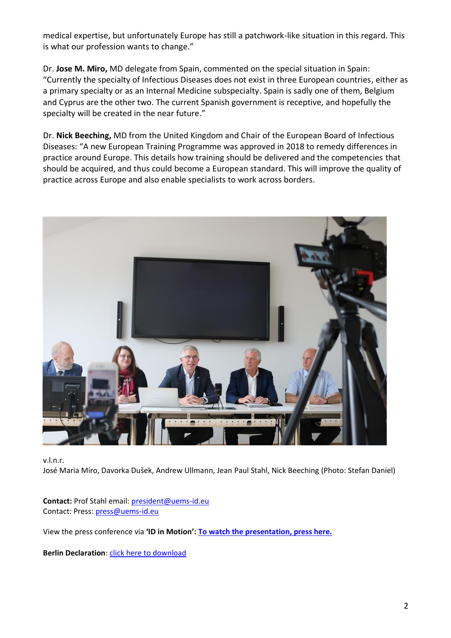medical expertise, but unfortunately Europe has still a patchwork-like situation in this regard. This is what our profession wants to change."

Dr. **Jose M. Miro,** MD delegate from Spain, commented on the special situation in Spain: "Currently the specialty of Infectious Diseases does not exist in three European countries, either as a primary specialty or as an Internal Medicine subspecialty. Spain is sadly one of them, Belgium and Cyprus are the other two. The current Spanish government is receptive, and hopefully the specialty will be created in the near future."

Dr. **Nick Beeching,** MD from the United Kingdom and Chair of the European Board of Infectious Diseases: "A new European Training Programme was approved in 2018 to remedy differences in practice around Europe. This details how training should be delivered and the competencies that should be acquired, and thus could become a European standard. This will improve the quality of practice across Europe and also enable specialists to work across borders.



v.l.n.r.

José Maria Miro, Davorka Dušek, Andrew Ullmann, Jean Paul Stahl, Nick Beeching (Photo: Stefan Daniel)

**Contact:** Prof Stahl email: [president@uems-id.eu](mailto:president@uems-id.eu) Contact: Press: [press@uems-id.eu](mailto:press@uems-id.eu)

View the press conference via **'ID in Motion': [To watch the presentation, press here.](https://www.youtube.com/watch?v=ASyOmd6FN1E)**

**Berlin Declaration:** click here to download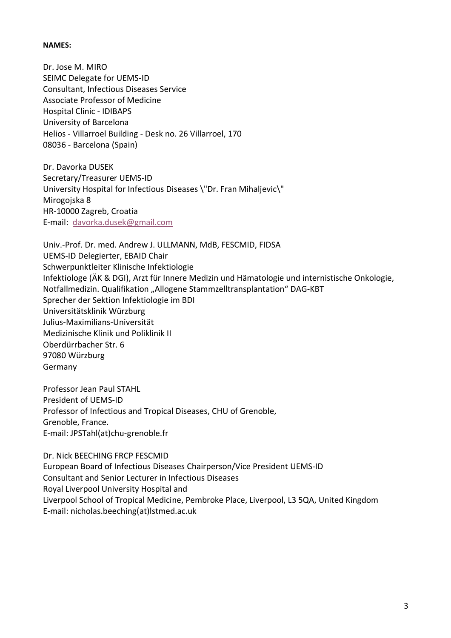#### **NAMES:**

Dr. Jose M. MIRO SEIMC Delegate for UEMS-ID Consultant, Infectious Diseases Service Associate Professor of Medicine Hospital Clinic - IDIBAPS University of Barcelona Helios - Villarroel Building - Desk no. 26 Villarroel, 170 08036 - Barcelona (Spain)

Dr. Davorka DUSEK Secretary/Treasurer UEMS-ID University Hospital for Infectious Diseases \"Dr. Fran Mihaljevic\" Mirogojska 8 HR-10000 Zagreb, Croatia E-mail: [davorka.dusek@gmail.com](mailto:davorka.dusek@gmail.com)

Univ.-Prof. Dr. med. Andrew J. ULLMANN, MdB, FESCMID, FIDSA UEMS-ID Delegierter, EBAID Chair Schwerpunktleiter Klinische Infektiologie Infektiologe (ÄK & DGI), Arzt für Innere Medizin und Hämatologie und internistische Onkologie, Notfallmedizin. Qualifikation "Allogene Stammzelltransplantation" DAG-KBT Sprecher der Sektion Infektiologie im BDI Universitätsklinik Würzburg Julius-Maximilians-Universität Medizinische Klinik und Poliklinik II Oberdürrbacher Str. 6 97080 Würzburg Germany

Professor Jean Paul STAHL President of UEMS-ID Professor of Infectious and Tropical Diseases, CHU of Grenoble, Grenoble, France. E-mail: JPSTahl(at)chu-grenoble.fr

Dr. Nick BEECHING FRCP FESCMID European Board of Infectious Diseases Chairperson/Vice President UEMS-ID Consultant and Senior Lecturer in Infectious Diseases Royal Liverpool University Hospital and Liverpool School of Tropical Medicine, Pembroke Place, Liverpool, L3 5QA, United Kingdom E-mail: nicholas.beeching(at)lstmed.ac.uk